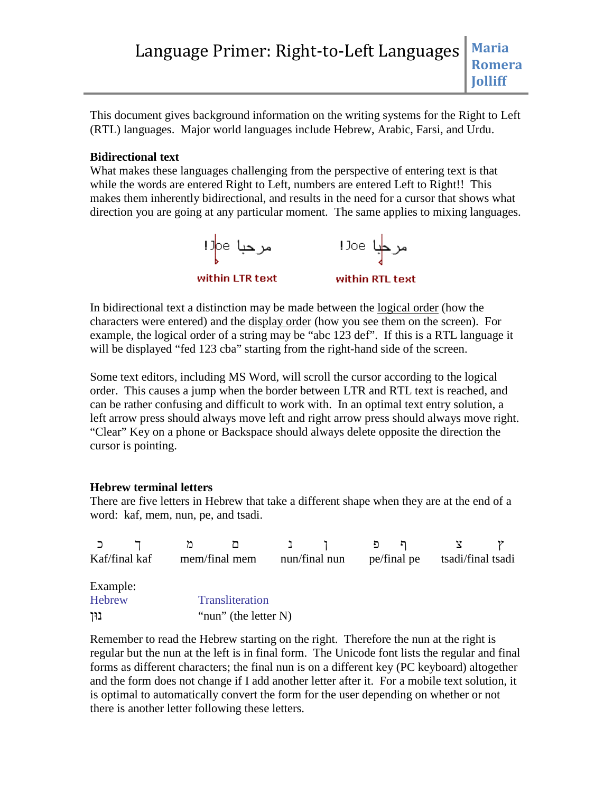# Language Primer: Right-to-Left Languages | Maria **Romera Jolliff**

This document gives background information on the writing systems for the Right to Left (RTL) languages. Major world languages include Hebrew, Arabic, Farsi, and Urdu.

## **Bidirectional text**

What makes these languages challenging from the perspective of entering text is that while the words are entered Right to Left, numbers are entered Left to Right!! This makes them inherently bidirectional, and results in the need for a cursor that shows what direction you are going at any particular moment. The same applies to mixing languages.



In bidirectional text a distinction may be made between the logical order (how the characters were entered) and the display order (how you see them on the screen). For example, the logical order of a string may be "abc 123 def". If this is a RTL language it will be displayed "fed 123 cba" starting from the right-hand side of the screen.

Some text editors, including MS Word, will scroll the cursor according to the logical order. This causes a jump when the border between LTR and RTL text is reached, and can be rather confusing and difficult to work with. In an optimal text entry solution, a left arrow press should always move left and right arrow press should always move right. "Clear" Key on a phone or Backspace should always delete opposite the direction the cursor is pointing.

#### **Hebrew terminal letters**

There are five letters in Hebrew that take a different shape when they are at the end of a word: kaf, mem, nun, pe, and tsadi.

|               |  | 72                      | ◘ |               |  | ף פ         |  |                   |  |
|---------------|--|-------------------------|---|---------------|--|-------------|--|-------------------|--|
| Kaf/final kaf |  | mem/final mem           |   | nun/final nun |  | pe/final pe |  | tsadi/final tsadi |  |
|               |  |                         |   |               |  |             |  |                   |  |
| Example:      |  |                         |   |               |  |             |  |                   |  |
| Hebrew        |  | Transliteration         |   |               |  |             |  |                   |  |
| בוּך          |  | "nun" (the letter $N$ ) |   |               |  |             |  |                   |  |

Remember to read the Hebrew starting on the right. Therefore the nun at the right is regular but the nun at the left is in final form. The Unicode font lists the regular and final forms as different characters; the final nun is on a different key (PC keyboard) altogether and the form does not change if I add another letter after it. For a mobile text solution, it is optimal to automatically convert the form for the user depending on whether or not there is another letter following these letters.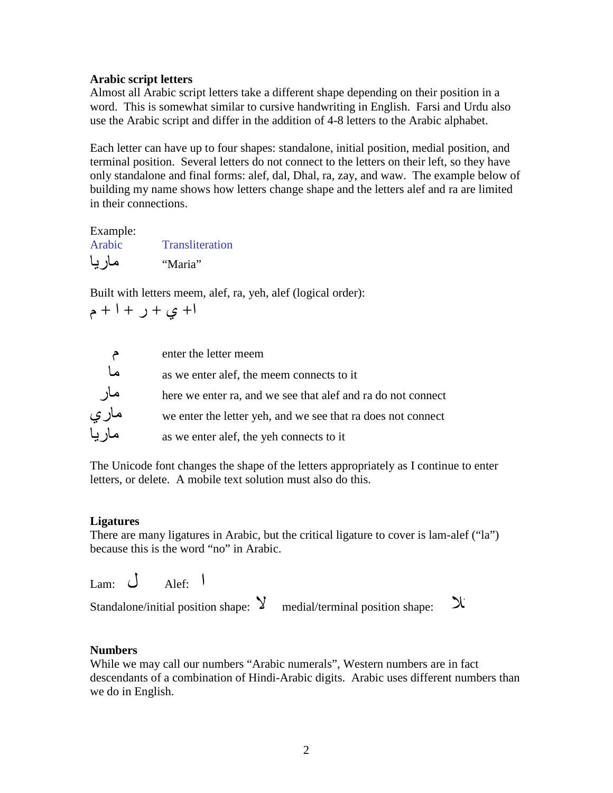## **Arabic script letters**

Almost all Arabic script letters take a different shape depending on their position in a word. This is somewhat similar to cursive handwriting in English. Farsi and Urdu also use the Arabic script and differ in the addition of 4-8 letters to the Arabic alphabet.

Each letter can have up to four shapes: standalone, initial position, medial position, and terminal position. Several letters do not connect to the letters on their left, so they have only standalone and final forms: alef, dal, Dhal, ra, zay, and waw. The example below of building my name shows how letters change shape and the letters alef and ra are limited in their connections.

| Example: |                 |
|----------|-----------------|
| Arabic   | Transliteration |
| ماريا    | "Maria"         |

Built with letters meem, alef, ra, yeh, alef (logical order):

$$
|+\hat{y}+\hat{y}+\hat{z}
$$



The Unicode font changes the shape of the letters appropriately as I continue to enter letters, or delete. A mobile text solution must also do this.

# **Ligatures**

There are many ligatures in Arabic, but the critical ligature to cover is lam-alef ("la") because this is the word "no" in Arabic.

 $\lim_{\leftarrow} \bigcup_{\text{Alef}}$  +  $\bigcup$ 

Standalone/initial position shape:  $\mathcal{Y}$  medial/terminal position shape:  $\mathcal{X}$ 

# **Numbers**

While we may call our numbers "Arabic numerals", Western numbers are in fact descendants of a combination of Hindi-Arabic digits. Arabic uses different numbers than we do in English.